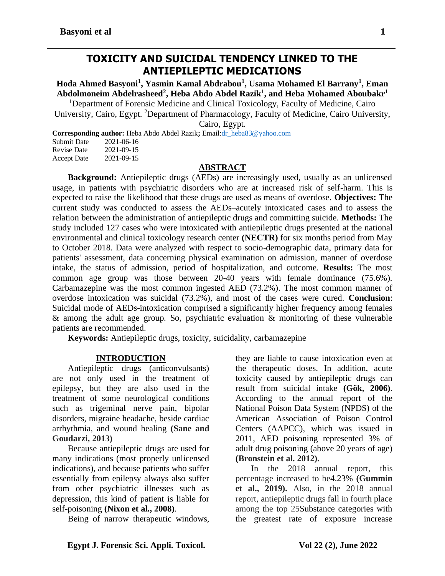## **TOXICITY AND SUICIDAL TENDENCY LINKED TO THE ANTIEPILEPTIC MEDICATIONS**

**Hoda Ahmed Basyoni<sup>1</sup> , Yasmin Kamal Abdrabou<sup>1</sup> , Usama Mohamed El Barrany<sup>1</sup> , Eman Abdolmoneim Abdelrasheed<sup>2</sup> , Heba Abdo Abdel Razik<sup>1</sup> , and Heba Mohamed Aboubakr<sup>1</sup>**

<sup>1</sup>Department of Forensic Medicine and Clinical Toxicology, Faculty of Medicine, Cairo University, Cairo, Egypt. <sup>2</sup>Department of Pharmacology, Faculty of Medicine, Cairo University, Cairo, Egypt.

**Corresponding author:** Heba Abdo Abdel Razik**;** Emai[l:dr\\_heba83@yahoo.com](mailto:dr_heba83@yahoo.com)

| <b>Submit Date</b> | 2021-06-16 |
|--------------------|------------|
| <b>Revise Date</b> | 2021-09-15 |
| <b>Accept Date</b> | 2021-09-15 |

#### **ABSTRACT**

**Background:** Antiepileptic drugs (AEDs) are increasingly used, usually as an unlicensed usage, in patients with psychiatric disorders who are at increased risk of self-harm. This is expected to raise the likelihood that these drugs are used as means of overdose. **Objectives:** The current study was conducted to assess the AEDs–acutely intoxicated cases and to assess the relation between the administration of antiepileptic drugs and committing suicide. **Methods:** The study included 127 cases who were intoxicated with antiepileptic drugs presented at the national environmental and clinical toxicology research center **(NECTR)** for six months period from May to October 2018. Data were analyzed with respect to socio-demographic data, primary data for patients' assessment, data concerning physical examination on admission, manner of overdose intake, the status of admission, period of hospitalization, and outcome. **Results:** The most common age group was those between 20-40 years with female dominance (75.6%). Carbamazepine was the most common ingested AED (73.2%). The most common manner of overdose intoxication was suicidal (73.2%), and most of the cases were cured. **Conclusion**: Suicidal mode of AEDs-intoxication comprised a significantly higher frequency among females & among the adult age group. So, psychiatric evaluation & monitoring of these vulnerable patients are recommended.

**Keywords:** Antiepileptic drugs, toxicity, suicidality, carbamazepine

#### **INTRODUCTION**

Antiepileptic drugs (anticonvulsants) are not only used in the treatment of epilepsy, but they are also used in the treatment of some neurological conditions such as trigeminal nerve pain, bipolar disorders, migraine headache, beside cardiac arrhythmia, and wound healing **(Sane and Goudarzi, 2013)**

Because antiepileptic drugs are used for many indications (most properly unlicensed indications), and because patients who suffer essentially from epilepsy always also suffer from other psychiatric illnesses such as depression, this kind of patient is liable for self-poisoning **(Nixon et al., 2008)**.

Being of narrow therapeutic windows,

they are liable to cause intoxication even at the therapeutic doses. In addition, acute toxicity caused by antiepileptic drugs can result from suicidal intake **(Gök, 2006)**. According to the annual report of the National Poison Data System (NPDS) of the American Association of Poison Control Centers (AAPCC), which was issued in 2011, AED poisoning represented 3% of adult drug poisoning (above 20 years of age) **(Bronstein et al. 2012).**

In the 2018 annual report, this percentage increased to be4.23% **(Gummin et al., 2019).** Also, in the 2018 annual report, antiepileptic drugs fall in fourth place among the top 25Substance categories with the greatest rate of exposure increase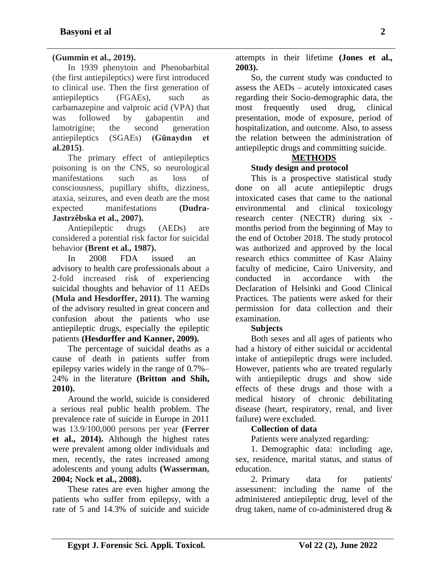## **(Gummin et al., 2019).**

In 1939 phenytoin and Phenobarbital (the first antiepileptics) were first introduced to clinical use. Then the first generation of antiepileptics (FGAEs), such as carbamazepine and valproic acid (VPA) that was followed by gabapentin and lamotrigine; the second generation antiepileptics (SGAEs) **(Günaydın et al.2015)**.

The primary effect of antiepileptics poisoning is on the CNS, so neurological manifestations such as loss of consciousness, pupillary shifts, dizziness, ataxia, seizures, and even death are the most expected manifestations **(Dudra-Jastrzêbska et al., 2007).**

Antiepileptic drugs (AEDs) are considered a potential risk factor for suicidal behavior **(Brent et al., 1987).**

In 2008 FDA issued an advisory to health care professionals about a 2-fold increased risk of experiencing suicidal thoughts and behavior of 11 AEDs **(Mula and Hesdorffer, 2011)**. The warning of the advisory resulted in great concern and confusion about the patients who use antiepileptic drugs, especially the epileptic patients **(Hesdorffer and Kanner, 2009).**

The percentage of suicidal deaths as a cause of death in patients suffer from epilepsy varies widely in the range of 0.7%– 24% in the literature **(Britton and Shih, 2010).**

Around the world, suicide is considered a serious real public health problem. The prevalence rate of suicide in Europe in 2011 was 13.9/100,000 persons per year **(Ferrer et al., 2014).** Although the highest rates were prevalent among older individuals and men, recently, the rates increased among adolescents and young adults **(Wasserman, 2004; Nock et al., 2008).**

These rates are even higher among the patients who suffer from epilepsy, with a rate of 5 and 14.3% of suicide and suicide

attempts in their lifetime **(Jones et al., 2003).**

So, the current study was conducted to assess the AEDs – acutely intoxicated cases regarding their Socio-demographic data, the most frequently used drug, clinical presentation, mode of exposure, period of hospitalization, and outcome. Also, to assess the relation between the administration of antiepileptic drugs and committing suicide.

# **METHODS**

## **Study design and protocol**

This is a prospective statistical study done on all acute antiepileptic drugs intoxicated cases that came to the national environmental and clinical toxicology research center (NECTR) during six months period from the beginning of May to the end of October 2018. The study protocol was authorized and approved by the local research ethics committee of Kasr Alainy faculty of medicine, Cairo University, and conducted in accordance with the Declaration of Helsinki and Good Clinical Practices. The patients were asked for their permission for data collection and their examination.

#### **Subjects**

Both sexes and all ages of patients who had a history of either suicidal or accidental intake of antiepileptic drugs were included. However, patients who are treated regularly with antiepileptic drugs and show side effects of these drugs and those with a medical history of chronic debilitating disease (heart, respiratory, renal, and liver failure) were excluded.

#### **Collection of data**

Patients were analyzed regarding:

1. Demographic data: including age, sex, residence, marital status, and status of education.

2. Primary data for patients' assessment: including the name of the administered antiepileptic drug, level of the drug taken, name of co-administered drug &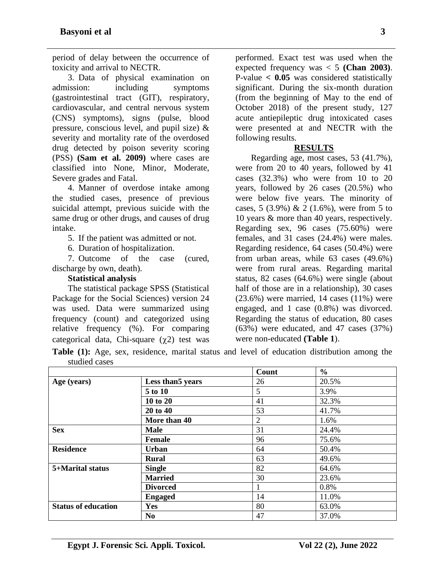period of delay between the occurrence of toxicity and arrival to NECTR.

3. Data of physical examination on admission: including symptoms (gastrointestinal tract (GIT), respiratory, cardiovascular, and central nervous system (CNS) symptoms), signs (pulse, blood pressure, conscious level, and pupil size) & severity and mortality rate of the overdosed drug detected by poison severity scoring (PSS) **(Sam et al. 2009)** where cases are classified into None, Minor, Moderate, Severe grades and Fatal.

4. Manner of overdose intake among the studied cases, presence of previous suicidal attempt, previous suicide with the same drug or other drugs, and causes of drug intake.

5. If the patient was admitted or not.

6. Duration of hospitalization.

7. Outcome of the case (cured, discharge by own, death).

#### **Statistical analysis**

The statistical package SPSS (Statistical Package for the Social Sciences) version 24 was used. Data were summarized using frequency (count) and categorized using relative frequency (%). For comparing categorical data, Chi-square  $(\gamma 2)$  test was

performed. Exact test was used when the expected frequency was < 5 **(Chan 2003)**. P-value **< 0.05** was considered statistically significant. During the six-month duration (from the beginning of May to the end of October 2018) of the present study, 127 acute antiepileptic drug intoxicated cases were presented at and NECTR with the following results.

#### **RESULTS**

Regarding age, most cases, 53 (41.7%), were from 20 to 40 years, followed by 41 cases (32.3%) who were from 10 to 20 years, followed by 26 cases (20.5%) who were below five years. The minority of cases,  $5$  (3.9%) & 2 (1.6%), were from  $5$  to 10 years & more than 40 years, respectively. Regarding sex, 96 cases (75.60%) were females, and 31 cases (24.4%) were males. Regarding residence, 64 cases (50.4%) were from urban areas, while 63 cases (49.6%) were from rural areas. Regarding marital status, 82 cases (64.6%) were single (about half of those are in a relationship), 30 cases  $(23.6\%)$  were married, 14 cases  $(11\%)$  were engaged, and 1 case (0.8%) was divorced. Regarding the status of education, 80 cases (63%) were educated, and 47 cases (37%) were non-educated **(Table 1**).

**Table (1):** Age, sex, residence, marital status and level of education distribution among the studied cases

|                            |                   | Count          | $\frac{0}{0}$ |
|----------------------------|-------------------|----------------|---------------|
| Age (years)                | Less than 5 years | 26             | 20.5%         |
|                            | 5 to 10           | 5              | 3.9%          |
|                            | 10 to 20          | 41             | 32.3%         |
|                            | 20 to 40          | 53             | 41.7%         |
|                            | More than 40      | $\overline{2}$ | 1.6%          |
| <b>Sex</b>                 | <b>Male</b>       | 31             | 24.4%         |
|                            | Female            | 96             | 75.6%         |
| <b>Residence</b>           | <b>Urban</b>      | 64             | 50.4%         |
|                            | <b>Rural</b>      | 63             | 49.6%         |
| 5+Marital status           | <b>Single</b>     | 82             | 64.6%         |
|                            | <b>Married</b>    | 30             | 23.6%         |
|                            | <b>Divorced</b>   |                | 0.8%          |
|                            | <b>Engaged</b>    | 14             | 11.0%         |
| <b>Status of education</b> | Yes               | 80             | 63.0%         |
|                            | N <sub>0</sub>    | 47             | 37.0%         |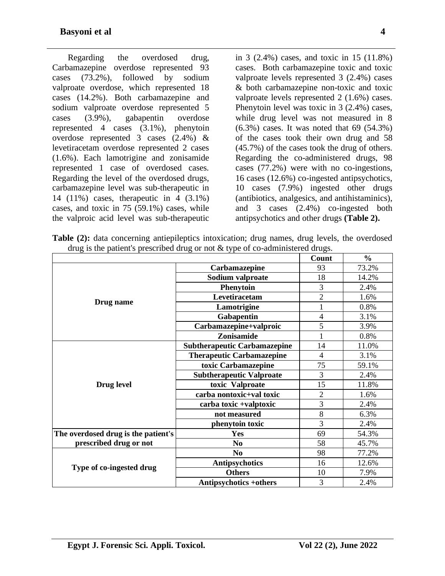Regarding the overdosed drug, Carbamazepine overdose represented 93 cases (73.2%), followed by sodium valproate overdose, which represented 18 cases (14.2%). Both carbamazepine and sodium valproate overdose represented 5 cases (3.9%), gabapentin overdose represented 4 cases (3.1%), phenytoin overdose represented 3 cases (2.4%) & levetiracetam overdose represented 2 cases (1.6%). Each lamotrigine and zonisamide represented 1 case of overdosed cases. Regarding the level of the overdosed drugs, carbamazepine level was sub-therapeutic in 14 (11%) cases, therapeutic in 4 (3.1%) cases, and toxic in 75 (59.1%) cases, while the valproic acid level was sub-therapeutic

in 3 (2.4%) cases, and toxic in 15 (11.8%) cases. Both carbamazepine toxic and toxic valproate levels represented 3 (2.4%) cases & both carbamazepine non-toxic and toxic valproate levels represented 2 (1.6%) cases. Phenytoin level was toxic in 3 (2.4%) cases, while drug level was not measured in 8 (6.3%) cases. It was noted that 69 (54.3%) of the cases took their own drug and 58 (45.7%) of the cases took the drug of others. Regarding the co-administered drugs, 98 cases (77.2%) were with no co-ingestions, 16 cases (12.6%) co-ingested antipsychotics, 10 cases (7.9%) ingested other drugs (antibiotics, analgesics, and antihistaminics), and 3 cases (2.4%) co-ingested both antipsychotics and other drugs **(Table 2).**

**Table (2):** data concerning antiepileptics intoxication; drug names, drug levels, the overdosed drug is the patient's prescribed drug or not & type of co-administered drugs.

|                                     |                                     | Count          | $\frac{0}{0}$ |
|-------------------------------------|-------------------------------------|----------------|---------------|
|                                     | Carbamazepine                       | 93             | 73.2%         |
|                                     | Sodium valproate                    | 18             | 14.2%         |
| Drug name                           | <b>Phenytoin</b>                    | 3              | 2.4%          |
|                                     | Levetiracetam                       | $\overline{2}$ | 1.6%          |
|                                     | Lamotrigine                         | 1              | 0.8%          |
|                                     | Gabapentin                          | $\overline{4}$ | 3.1%          |
|                                     | Carbamazepine+valproic              | 5              | 3.9%          |
|                                     | Zonisamide                          |                | 0.8%          |
|                                     | <b>Subtherapeutic Carbamazepine</b> | 14             | 11.0%         |
|                                     | <b>Therapeutic Carbamazepine</b>    | $\overline{4}$ | 3.1%          |
|                                     | toxic Carbamazepine                 | 75             | 59.1%         |
|                                     | <b>Subtherapeutic Valproate</b>     | 3              | 2.4%          |
| Drug level                          | toxic Valproate                     | 15             | 11.8%         |
|                                     | carba nontoxic+val toxic            | $\overline{2}$ | 1.6%          |
|                                     | carba toxic +valptoxic              | 3              | 2.4%          |
|                                     | not measured                        | 8              | 6.3%          |
|                                     | phenytoin toxic                     | 3              | 2.4%          |
| The overdosed drug is the patient's | Yes                                 | 69             | 54.3%         |
| prescribed drug or not              | N <sub>0</sub>                      | 58             | 45.7%         |
|                                     | N <sub>0</sub>                      | 98             | 77.2%         |
| Type of co-ingested drug            | <b>Antipsychotics</b>               | 16             | 12.6%         |
|                                     | <b>Others</b>                       | 10             | 7.9%          |
|                                     | <b>Antipsychotics +others</b>       | 3              | 2.4%          |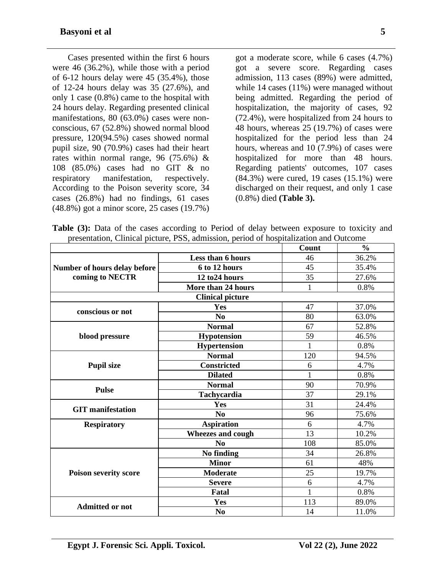Cases presented within the first 6 hours were 46 (36.2%), while those with a period of 6-12 hours delay were 45 (35.4%), those of 12-24 hours delay was 35 (27.6%), and only 1 case (0.8%) came to the hospital with 24 hours delay. Regarding presented clinical manifestations, 80 (63.0%) cases were nonconscious, 67 (52.8%) showed normal blood pressure, 120(94.5%) cases showed normal pupil size, 90 (70.9%) cases had their heart rates within normal range, 96 (75.6%) & 108 (85.0%) cases had no GIT & no respiratory manifestation, respectively. According to the Poison severity score, 34 cases (26.8%) had no findings, 61 cases (48.8%) got a minor score, 25 cases (19.7%)

got a moderate score, while 6 cases (4.7%) got a severe score. Regarding cases admission, 113 cases (89%) were admitted, while 14 cases (11%) were managed without being admitted. Regarding the period of hospitalization, the majority of cases, 92 (72.4%), were hospitalized from 24 hours to 48 hours, whereas 25 (19.7%) of cases were hospitalized for the period less than 24 hours, whereas and 10 (7.9%) of cases were hospitalized for more than 48 hours. Regarding patients' outcomes, 107 cases (84.3%) were cured, 19 cases (15.1%) were discharged on their request, and only 1 case (0.8%) died **(Table 3).**

Table (3): Data of the cases according to Period of delay between exposure to toxicity and presentation, Clinical picture, PSS, admission, period of hospitalization and Outcome

|                              |                                                                                                                                                                                                                                                                                                                                                                                                                          | Count        | $\frac{0}{0}$ |
|------------------------------|--------------------------------------------------------------------------------------------------------------------------------------------------------------------------------------------------------------------------------------------------------------------------------------------------------------------------------------------------------------------------------------------------------------------------|--------------|---------------|
|                              | Less than 6 hours                                                                                                                                                                                                                                                                                                                                                                                                        | 46           | 36.2%         |
| Number of hours delay before | 6 to 12 hours                                                                                                                                                                                                                                                                                                                                                                                                            | 45           | 35.4%         |
| coming to NECTR              | 12 to 24 hours                                                                                                                                                                                                                                                                                                                                                                                                           | 35           | 27.6%         |
|                              | More than 24 hours<br><b>Clinical picture</b><br><b>Yes</b><br>No<br><b>Normal</b><br><b>Hypotension</b><br><b>Hypertension</b><br><b>Normal</b><br><b>Constricted</b><br><b>Dilated</b><br><b>Normal</b><br>Tachycardia<br>Yes<br>N <sub>0</sub><br><b>Aspiration</b><br>Wheezes and cough<br>N <sub>0</sub><br>No finding<br><b>Minor</b><br><b>Moderate</b><br><b>Severe</b><br><b>Fatal</b><br>Yes<br>N <sub>0</sub> | 1            | 0.8%          |
|                              |                                                                                                                                                                                                                                                                                                                                                                                                                          |              |               |
|                              |                                                                                                                                                                                                                                                                                                                                                                                                                          | 47           | 37.0%         |
|                              |                                                                                                                                                                                                                                                                                                                                                                                                                          | 80           | 63.0%         |
|                              |                                                                                                                                                                                                                                                                                                                                                                                                                          | 67           | 52.8%         |
| blood pressure               | conscious or not<br><b>Pupil size</b><br><b>Pulse</b><br><b>GIT</b> manifestation<br><b>Respiratory</b><br><b>Admitted or not</b>                                                                                                                                                                                                                                                                                        | 59           | 46.5%         |
|                              |                                                                                                                                                                                                                                                                                                                                                                                                                          | $\mathbf{1}$ | 0.8%          |
|                              |                                                                                                                                                                                                                                                                                                                                                                                                                          | 120          | 94.5%         |
|                              |                                                                                                                                                                                                                                                                                                                                                                                                                          | 6            | 4.7%          |
|                              |                                                                                                                                                                                                                                                                                                                                                                                                                          |              | 0.8%          |
|                              |                                                                                                                                                                                                                                                                                                                                                                                                                          | 90           | 70.9%         |
|                              |                                                                                                                                                                                                                                                                                                                                                                                                                          | 37           | 29.1%         |
|                              |                                                                                                                                                                                                                                                                                                                                                                                                                          |              | 24.4%         |
|                              |                                                                                                                                                                                                                                                                                                                                                                                                                          | 96           | 75.6%         |
|                              |                                                                                                                                                                                                                                                                                                                                                                                                                          | 6            | 4.7%          |
|                              |                                                                                                                                                                                                                                                                                                                                                                                                                          | 13           | 10.2%         |
|                              |                                                                                                                                                                                                                                                                                                                                                                                                                          | 108          | 85.0%         |
|                              |                                                                                                                                                                                                                                                                                                                                                                                                                          | 34           | 26.8%         |
| <b>Poison severity score</b> |                                                                                                                                                                                                                                                                                                                                                                                                                          | 61           | 48%           |
|                              |                                                                                                                                                                                                                                                                                                                                                                                                                          | 25           | 19.7%         |
|                              |                                                                                                                                                                                                                                                                                                                                                                                                                          | 6            | 4.7%          |
|                              |                                                                                                                                                                                                                                                                                                                                                                                                                          | $\mathbf{1}$ | 0.8%          |
|                              |                                                                                                                                                                                                                                                                                                                                                                                                                          | 113          | 89.0%         |
|                              |                                                                                                                                                                                                                                                                                                                                                                                                                          | 14           | 11.0%         |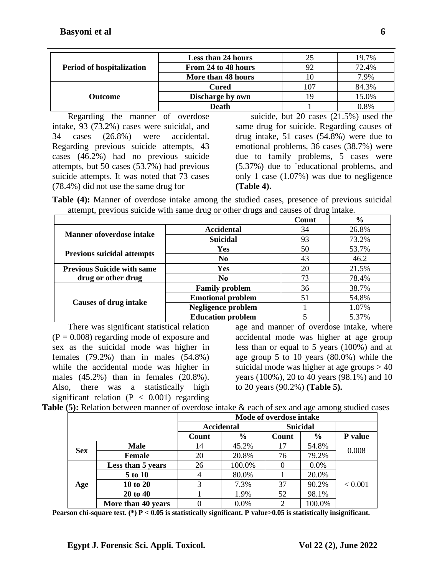|                                  | <b>Less than 24 hours</b> | 25  | 19.7% |
|----------------------------------|---------------------------|-----|-------|
| <b>Period of hospitalization</b> | From 24 to 48 hours       | 92  | 72.4% |
|                                  | More than 48 hours        | 10  | 7.9%  |
|                                  | <b>Cured</b>              | 107 | 84.3% |
| <b>Outcome</b>                   | Discharge by own          | 19  | 15.0% |
|                                  | <b>Death</b>              |     | 0.8%  |

Regarding the manner of overdose intake, 93 (73.2%) cases were suicidal, and 34 cases (26.8%) were accidental. Regarding previous suicide attempts, 43 cases (46.2%) had no previous suicide attempts, but 50 cases (53.7%) had previous suicide attempts. It was noted that 73 cases (78.4%) did not use the same drug for

suicide, but 20 cases (21.5%) used the same drug for suicide. Regarding causes of drug intake, 51 cases (54.8%) were due to emotional problems, 36 cases (38.7%) were due to family problems, 5 cases were (5.37%) due to `educational problems, and only 1 case (1.07%) was due to negligence **(Table 4).**

**Table (4):** Manner of overdose intake among the studied cases, presence of previous suicidal attempt, previous suicide with same drug or other drugs and causes of drug intake.

|                                   | Count                     | $\%$ |       |
|-----------------------------------|---------------------------|------|-------|
| <b>Manner ofoverdose intake</b>   | <b>Accidental</b>         | 34   | 26.8% |
|                                   | <b>Suicidal</b>           | 93   | 73.2% |
| <b>Previous suicidal attempts</b> | Yes                       | 50   | 53.7% |
|                                   | N <sub>o</sub>            | 43   | 46.2  |
| <b>Previous Suicide with same</b> | Yes                       |      | 21.5% |
| drug or other drug                | N <sub>o</sub>            | 73   | 78.4% |
|                                   | <b>Family problem</b>     | 36   | 38.7% |
| <b>Causes of drug intake</b>      | <b>Emotional problem</b>  | 51   | 54.8% |
|                                   | <b>Negligence problem</b> |      | 1.07% |
|                                   | <b>Education problem</b>  |      | 5.37% |

There was significant statistical relation  $(P = 0.008)$  regarding mode of exposure and sex as the suicidal mode was higher in females (79.2%) than in males (54.8%) while the accidental mode was higher in males (45.2%) than in females (20.8%). Also, there was a statistically high significant relation  $(P < 0.001)$  regarding

age and manner of overdose intake, where accidental mode was higher at age group less than or equal to 5 years (100%) and at age group 5 to 10 years (80.0%) while the suicidal mode was higher at age groups  $> 40$ years (100%), 20 to 40 years (98.1%) and 10 to 20 years (90.2%) **(Table 5).**

| Table (5): Relation between manner of overdose intake & each of sex and age among studied cases |
|-------------------------------------------------------------------------------------------------|
|-------------------------------------------------------------------------------------------------|

|            |                    | Mode of overdose intake |                   |                 |               |         |  |  |
|------------|--------------------|-------------------------|-------------------|-----------------|---------------|---------|--|--|
|            |                    |                         | <b>Accidental</b> | <b>Suicidal</b> |               |         |  |  |
|            |                    | Count                   | $\frac{6}{6}$     | Count           | $\frac{6}{6}$ | P value |  |  |
| <b>Sex</b> | <b>Male</b>        | 14                      | 45.2%             | 17              | 54.8%         | 0.008   |  |  |
|            | Female             | 20                      | 20.8%             | 76              | 79.2%         |         |  |  |
|            | Less than 5 years  | 26                      | 100.0%            |                 | 0.0%          |         |  |  |
|            | 5 to 10            |                         | 80.0%             |                 | 20.0%         |         |  |  |
| Age        | 10 to 20           | 3                       | 7.3%              | 37              | 90.2%         | < 0.001 |  |  |
|            | 20 to 40           |                         | 1.9%              | 52              | 98.1%         |         |  |  |
|            | More than 40 years |                         | 0.0%              | 2               | 100.0%        |         |  |  |

**Pearson chi-square test. (\*) P < 0.05 is statistically significant. P value>0.05 is statistically insignificant.**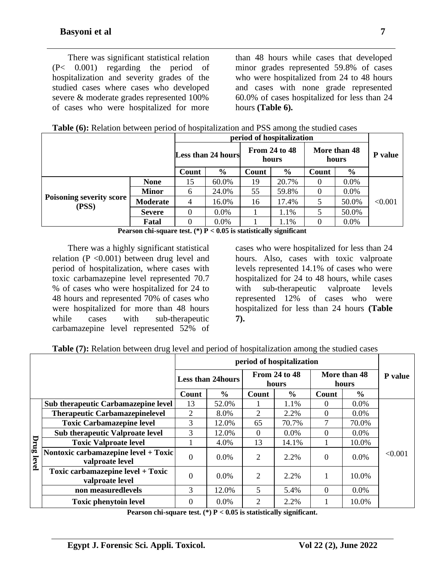There was significant statistical relation (P< 0.001) regarding the period of hospitalization and severity grades of the studied cases where cases who developed severe & moderate grades represented 100% of cases who were hospitalized for more

than 48 hours while cases that developed minor grades represented 59.8% of cases who were hospitalized from 24 to 48 hours and cases with none grade represented 60.0% of cases hospitalized for less than 24 hours **(Table 6).**

|  |  |  | Table (6): Relation between period of hospitalization and PSS among the studied cases |
|--|--|--|---------------------------------------------------------------------------------------|
|  |  |  |                                                                                       |

|                                          |                 | period of hospitalization |               |                        |               |                       |               |         |
|------------------------------------------|-----------------|---------------------------|---------------|------------------------|---------------|-----------------------|---------------|---------|
|                                          |                 | <b>Less than 24 hours</b> |               | From 24 to 48<br>hours |               | More than 48<br>hours |               | P value |
|                                          |                 | Count                     | $\frac{6}{9}$ | Count                  | $\frac{6}{9}$ | Count                 | $\frac{6}{6}$ |         |
|                                          | <b>None</b>     | 15                        | 60.0%         | 19                     | 20.7%         | $\theta$              | 0.0%          |         |
|                                          | <b>Minor</b>    | 6                         | 24.0%         | 55                     | 59.8%         | $\theta$              | 0.0%          |         |
| <b>Poisoning severity score</b><br>(PSS) | <b>Moderate</b> | $\overline{4}$            | 16.0%         | 16                     | 17.4%         | 5                     | 50.0%         | < 0.001 |
|                                          | <b>Severe</b>   | 0                         | $0.0\%$       |                        | 1.1%          | 5                     | 50.0%         |         |
|                                          | Fatal           | 0                         | $0.0\%$       |                        | 1.1%          | $\Omega$              | $0.0\%$       |         |

**Pearson chi-square test. (\*) P < 0.05 is statistically significant**

There was a highly significant statistical relation ( $P \leq 0.001$ ) between drug level and period of hospitalization, where cases with toxic carbamazepine level represented 70.7 % of cases who were hospitalized for 24 to 48 hours and represented 70% of cases who were hospitalized for more than 48 hours while cases with sub-therapeutic carbamazepine level represented 52% of

cases who were hospitalized for less than 24 hours. Also, cases with toxic valproate levels represented 14.1% of cases who were hospitalized for 24 to 48 hours, while cases with sub-therapeutic valproate levels represented 12% of cases who were hospitalized for less than 24 hours **(Table 7).**

|  | Table (7): Relation between drug level and period of hospitalization among the studied cases |  |  |  |
|--|----------------------------------------------------------------------------------------------|--|--|--|
|  |                                                                                              |  |  |  |

|            |                                                         |                          | period of hospitalization |                               |               |                       |               |                |  |
|------------|---------------------------------------------------------|--------------------------|---------------------------|-------------------------------|---------------|-----------------------|---------------|----------------|--|
|            |                                                         | <b>Less than 24hours</b> |                           | <b>From 24 to 48</b><br>hours |               | More than 48<br>hours |               | <b>P</b> value |  |
|            |                                                         | Count                    | $\frac{0}{0}$             | Count                         | $\frac{6}{6}$ | Count                 | $\frac{0}{0}$ |                |  |
|            | <b>Sub therapeutic Carbamazepine level</b>              | 13                       | 52.0%                     |                               | 1.1%          | $\Omega$              | 0.0%          |                |  |
|            | <b>Therapeutic Carbamazepinelevel</b>                   | $\overline{2}$           | 8.0%                      | $\overline{2}$                | 2.2%          | $\theta$              | $0.0\%$       |                |  |
|            | <b>Toxic Carbamazepine level</b>                        | 3                        | 12.0%                     | 65                            | 70.7%         | 7                     | 70.0%         | < 0.001        |  |
|            | <b>Sub therapeutic Valproate level</b>                  | 3                        | 12.0%                     | $\Omega$                      | $0.0\%$       | $\Omega$              | $0.0\%$       |                |  |
|            | <b>Toxic Valproate level</b>                            |                          | 4.0%                      | 13                            | 14.1%         |                       | 10.0%         |                |  |
| Drug level | Nontoxic carbamazepine level + Toxic<br>valproate level | $\Omega$                 | $0.0\%$                   | 2                             | 2.2%          | $\Omega$              | 0.0%          |                |  |
|            | Toxic carbamazepine level + Toxic<br>valproate level    | $\overline{0}$           | $0.0\%$                   | $\overline{2}$                | 2.2%          |                       | 10.0%         |                |  |
|            | non measuredlevels                                      | 3                        | 12.0%                     | 5                             | 5.4%          | $\Omega$              | $0.0\%$       |                |  |
|            | <b>Toxic phenytoin level</b>                            | $\Omega$                 | 0.0%                      | $\overline{2}$                | 2.2%          |                       | 10.0%         |                |  |

**Pearson chi-square test. (\*) P < 0.05 is statistically significant.**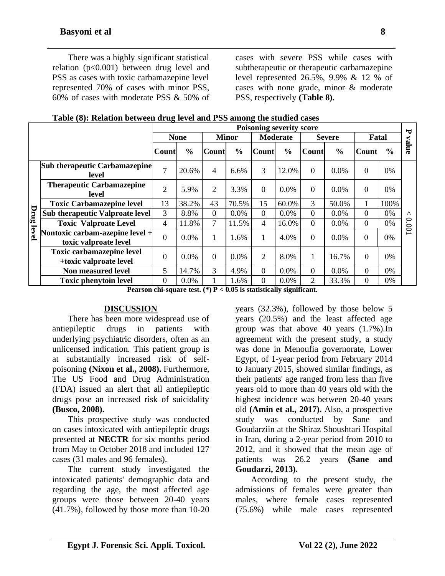There was a highly significant statistical relation (p<0.001) between drug level and PSS as cases with toxic carbamazepine level represented 70% of cases with minor PSS, 60% of cases with moderate PSS & 50% of

cases with severe PSS while cases with subtherapeutic or therapeutic carbamazepine level represented 26.5%, 9.9% & 12 % of cases with none grade, minor & moderate PSS, respectively **(Table 8).**

|       |                                                            | $\mathbf{r}$ and $\mathbf{r}$ are a set to be the contract of $\mathbf{r}$ and $\mathbf{r}$ be annong<br><b>Poisoning severity score</b><br>ਚ |               |                |               |                 |               |                |               |              |               |           |
|-------|------------------------------------------------------------|-----------------------------------------------------------------------------------------------------------------------------------------------|---------------|----------------|---------------|-----------------|---------------|----------------|---------------|--------------|---------------|-----------|
|       |                                                            | <b>None</b>                                                                                                                                   |               | <b>Minor</b>   |               | <b>Moderate</b> |               | <b>Severe</b>  |               | Fatal        |               |           |
|       |                                                            | Count                                                                                                                                         | $\frac{6}{6}$ | <b>Count</b>   | $\frac{6}{6}$ | <b>Count</b>    | $\frac{6}{6}$ | <b>Count</b>   | $\frac{0}{0}$ | Count        | $\frac{6}{6}$ | value     |
|       | <b>Sub therapeutic Carbamazepine</b><br>level              | $\overline{7}$                                                                                                                                | 20.6%         | $\overline{4}$ | 6.6%          | 3               | 12.0%         | $\Omega$       | 0.0%          | $\Omega$     | 0%            | Λ<br>1000 |
|       | <b>Therapeutic Carbamazepine</b><br>level                  | $\overline{2}$                                                                                                                                | 5.9%          | 2              | 3.3%          | $\theta$        | 0.0%          | $\Omega$       | 0.0%          | $\Omega$     | 0%            |           |
|       | <b>Toxic Carbamazepine level</b>                           | 13                                                                                                                                            | 38.2%         | 43             | 70.5%         | 15              | 60.0%         | 3              | 50.0%         |              | 100%          |           |
| Drug  | <b>Sub therapeutic Valproate level</b>                     | 3                                                                                                                                             | 8.8%          | $\overline{0}$ | 0.0%          | $\Omega$        | 0.0%          | 0              | 0.0%          | 0            | 0%            |           |
|       | <b>Toxic Valproate Level</b>                               | $\overline{4}$                                                                                                                                | 11.8%         | $\tau$         | 11.5%         | $\overline{4}$  | 16.0%         | $\theta$       | 0.0%          | $\theta$     | 0%            |           |
| level | Nontoxic carbam-azepine level +<br>toxic valproate level   | $\overline{0}$                                                                                                                                | $0.0\%$       | 1              | 1.6%          | 1               | 4.0%          | $\Omega$       | 0.0%          | $\mathbf{0}$ | 0%            |           |
|       | <b>Toxic carbamazepine level</b><br>+toxic valproate level | $\overline{0}$                                                                                                                                | 0.0%          | $\Omega$       | 0.0%          | 2               | 8.0%          | 1              | 16.7%         | $\Omega$     | 0%            |           |
|       | Non measured level                                         | 5                                                                                                                                             | 14.7%         | $\overline{3}$ | 4.9%          | $\overline{0}$  | 0.0%          | $\Omega$       | 0.0%          | $\theta$     | $0\%$         |           |
|       | <b>Toxic phenytoin level</b>                               | $\boldsymbol{0}$                                                                                                                              | $0.0\%$       |                | 1.6%          | $\Omega$        | 0.0%          | $\overline{2}$ | 33.3%         | 0            | 0%            |           |

|  |  | Table (8): Relation between drug level and PSS among the studied cases |  |
|--|--|------------------------------------------------------------------------|--|
|--|--|------------------------------------------------------------------------|--|

**Pearson chi-square test. (\*) P < 0.05 is statistically significant.**

#### **DISCUSSION**

There has been more widespread use of antiepileptic drugs in patients with underlying psychiatric disorders, often as an unlicensed indication. This patient group is at substantially increased risk of selfpoisoning **(Nixon et al., 2008).** Furthermore, The US Food and Drug Administration (FDA) issued an alert that all antiepileptic drugs pose an increased risk of suicidality **(Busco, 2008).**

This prospective study was conducted on cases intoxicated with antiepileptic drugs presented at **NECTR** for six months period from May to October 2018 and included 127 cases (31 males and 96 females).

The current study investigated the intoxicated patients' demographic data and regarding the age, the most affected age groups were those between 20-40 years (41.7%), followed by those more than 10-20

years (32.3%), followed by those below 5 years (20.5%) and the least affected age group was that above 40 years (1.7%).In agreement with the present study, a study was done in Menoufia governorate, Lower Egypt, of 1-year period from February 2014 to January 2015, showed similar findings, as their patients' age ranged from less than five years old to more than 40 years old with the highest incidence was between 20-40 years old **(Amin et al., 2017).** Also, a prospective study was conducted by Sane and Goudarziin at the Shiraz Shoushtari Hospital in Iran, during a 2-year period from 2010 to 2012, and it showed that the mean age of patients was 26.2 years **(Sane and Goudarzi, 2013).** 

According to the present study, the admissions of females were greater than males, where female cases represented (75.6%) while male cases represented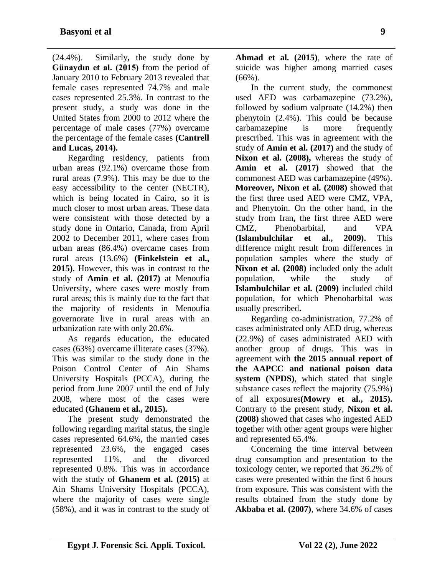(24.4%). Similarly**,** the study done by **Günaydın et al. (2015)** from the period of January 2010 to February 2013 revealed that female cases represented 74.7% and male cases represented 25.3%. In contrast to the present study, a study was done in the United States from 2000 to 2012 where the percentage of male cases (77%) overcame the percentage of the female cases **(Cantrell and Lucas, 2014).**

Regarding residency, patients from urban areas (92.1%) overcame those from rural areas (7.9%). This may be due to the easy accessibility to the center (NECTR), which is being located in Cairo, so it is much closer to most urban areas. These data were consistent with those detected by a study done in Ontario, Canada, from April 2002 to December 2011, where cases from urban areas (86.4%) overcame cases from rural areas (13.6%) **(Finkelstein et al., 2015)**. However, this was in contrast to the study of **Amin et al. (2017)** at Menoufia University, where cases were mostly from rural areas; this is mainly due to the fact that the majority of residents in Menoufia governorate live in rural areas with an urbanization rate with only 20.6%.

As regards education, the educated cases (63%) overcame illiterate cases (37%). This was similar to the study done in the Poison Control Center of Ain Shams University Hospitals (PCCA), during the period from June 2007 until the end of July 2008, where most of the cases were educated **(Ghanem et al., 2015).**

The present study demonstrated the following regarding marital status, the single cases represented 64.6%, the married cases represented 23.6%, the engaged cases represented 11%, and the divorced represented 0.8%. This was in accordance with the study of **Ghanem et al. (2015)** at Ain Shams University Hospitals (PCCA), where the majority of cases were single (58%), and it was in contrast to the study of

**Ahmad et al. (2015)**, where the rate of suicide was higher among married cases  $(66\%)$ .

In the current study, the commonest used AED was carbamazepine (73.2%), followed by sodium valproate (14.2%) then phenytoin (2.4%). This could be because carbamazepine is more frequently prescribed. This was in agreement with the study of **Amin et al. (2017)** and the study of Nixon et al. (2008), whereas the study of **Amin et al. (2017)** showed that the commonest AED was carbamazepine (49%). **Moreover, Nixon et al. (2008)** showed that the first three used AED were CMZ, VPA, and Phenytoin. On the other hand, in the study from Iran**,** the first three AED were CMZ, Phenobarbital, and VPA **(Islambulchilar et al., 2009).** This difference might result from differences in population samples where the study of **Nixon et al. (2008)** included only the adult population, while the study of **Islambulchilar et al. (2009)** included child population, for which Phenobarbital was usually prescribed**.**

Regarding co-administration, 77.2% of cases administrated only AED drug, whereas (22.9%) of cases administrated AED with another group of drugs. This was in agreement with **the 2015 annual report of the AAPCC and national poison data system (NPDS)**, which stated that single substance cases reflect the majority (75.9%) of all exposures**[\(Mowry et al., 2015\).](http://mmj.eg.net/article.asp?issn=1110-2098;year=2017;volume=30;issue=4;spage=1178;epage=1185;aulast=Amin#ref21)** Contrary to the present study, **Nixon et al. (2008)** showed that cases who ingested AED together with other agent groups were higher and represented 65.4%.

Concerning the time interval between drug consumption and presentation to the toxicology center, we reported that 36.2% of cases were presented within the first 6 hours from exposure. This was consistent with the results obtained from the study done by **Akbaba et al. (2007)**, where 34.6% of cases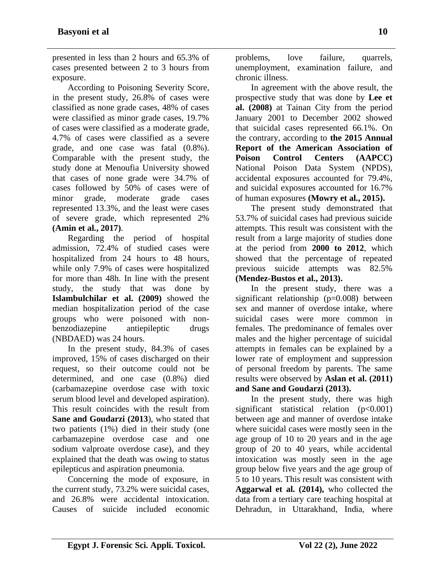presented in less than 2 hours and 65.3% of cases presented between 2 to 3 hours from exposure.

According to Poisoning Severity Score, in the present study, 26.8% of cases were classified as none grade cases, 48% of cases were classified as minor grade cases, 19.7% of cases were classified as a moderate grade, 4.7% of cases were classified as a severe grade, and one case was fatal (0.8%). Comparable with the present study, the study done at Menoufia University showed that cases of none grade were 34.7% of cases followed by 50% of cases were of minor grade, moderate grade cases represented 13.3%, and the least were cases of severe grade, which represented 2% **(Amin et al., 2017)**.

Regarding the period of hospital admission, 72.4% of studied cases were hospitalized from 24 hours to 48 hours, while only 7.9% of cases were hospitalized for more than 48h. In line with the present study, the study that was done by **Islambulchilar et al. (2009)** showed the median hospitalization period of the case groups who were poisoned with nonbenzodiazepine antiepileptic drugs (NBDAED) was 24 hours.

In the present study, 84.3% of cases improved, 15% of cases discharged on their request, so their outcome could not be determined, and one case (0.8%) died (carbamazepine overdose case with toxic serum blood level and developed aspiration). This result coincides with the result from **Sane and Goudarzi (2013**), who stated that two patients (1%) died in their study (one carbamazepine overdose case and one sodium valproate overdose case), and they explained that the death was owing to status epilepticus and aspiration pneumonia.

Concerning the mode of exposure, in the current study, 73.2% were suicidal cases, and 26.8% were accidental intoxication. Causes of suicide included economic

problems, love failure, quarrels, unemployment, examination failure, and chronic illness.

In agreement with the above result, the prospective study that was done by **Lee et al. (2008)** at Tainan City from the period January 2001 to December 2002 showed that suicidal cases represented 66.1%. On the contrary, according to **the 2015 Annual Report of the American Association of Poison Control Centers (AAPCC)**  National Poison Data System (NPDS), accidental exposures accounted for 79.4%, and suicidal exposures accounted for 16.7% of human exposures **(Mowry et al., 2015).**

The present study demonstrated that 53.7% of suicidal cases had previous suicide attempts. This result was consistent with the result from a large majority of studies done at the period from **2000 to 2012**, which showed that the percentage of repeated previous suicide attempts was 82.5% **(Mendez-Bustos et al., 2013).**

In the present study, there was a significant relationship  $(p=0.008)$  between sex and manner of overdose intake, where suicidal cases were more common in females. The predominance of females over males and the higher percentage of suicidal attempts in females can be explained by a lower rate of employment and suppression of personal freedom by parents. The same results were observed by **Aslan et al. (2011) and Sane and Goudarzi (2013).** 

In the present study, there was high significant statistical relation (p<0.001) between age and manner of overdose intake where suicidal cases were mostly seen in the age group of 10 to 20 years and in the age group of 20 to 40 years, while accidental intoxication was mostly seen in the age group below five years and the age group of 5 to 10 years. This result was consistent with **Aggarwal et al. (2014),** who collected the data from a tertiary care teaching hospital at Dehradun, in Uttarakhand, India, where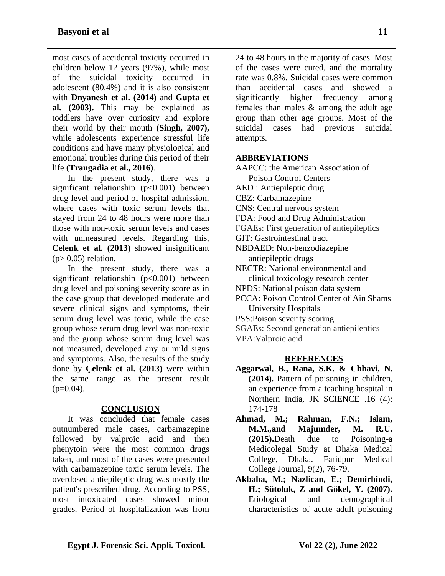most cases of accidental toxicity occurred in children below 12 years (97%), while most of the suicidal toxicity occurred in adolescent (80.4%) and it is also consistent with **Dnyanesh et al. (2014)** and **Gupta et al. (2003).** This may be explained as toddlers have over curiosity and explore their world by their mouth **(Singh, 2007),**  while adolescents experience stressful life conditions and have many physiological and emotional troubles during this period of their life **(Trangadia et al., 2016)**.

In the present study, there was a significant relationship  $(p<0.001)$  between drug level and period of hospital admission, where cases with toxic serum levels that stayed from 24 to 48 hours were more than those with non-toxic serum levels and cases with unmeasured levels. Regarding this, **Celenk et al. (2013)** showed insignificant  $(p> 0.05)$  relation.

In the present study, there was a significant relationship  $(p<0.001)$  between drug level and poisoning severity score as in the case group that developed moderate and severe clinical signs and symptoms, their serum drug level was toxic, while the case group whose serum drug level was non-toxic and the group whose serum drug level was not measured, developed any or mild signs and symptoms. Also, the results of the study done by **Çelenk et al. (2013)** were within the same range as the present result  $(p=0.04)$ .

## **CONCLUSION**

It was concluded that female cases outnumbered male cases, carbamazepine followed by valproic acid and then phenytoin were the most common drugs taken, and most of the cases were presented with carbamazepine toxic serum levels. The overdosed antiepileptic drug was mostly the patient's prescribed drug. According to PSS, most intoxicated cases showed minor grades. Period of hospitalization was from

24 to 48 hours in the majority of cases. Most of the cases were cured, and the mortality rate was 0.8%. Suicidal cases were common than accidental cases and showed a significantly higher frequency among females than males & among the adult age group than other age groups. Most of the suicidal cases had previous suicidal attempts.

## **ABBREVIATIONS**

AAPCC: the American Association of Poison Control Centers AED : Antiepileptic drug CBZ: Carbamazepine CNS: Central nervous system FDA: Food and Drug Administration FGAEs: First generation of antiepileptics GIT: Gastrointestinal tract NBDAED: Non-benzodiazepine antiepileptic drugs NECTR: National environmental and clinical toxicology research center NPDS: National poison data system PCCA: Poison Control Center of Ain Shams University Hospitals PSS:Poison severity scoring SGAEs: Second generation antiepileptics VPA:Valproic acid

#### **REFERENCES**

- **Aggarwal, B., Rana, S.K. & Chhavi, N. (2014).** Pattern of poisoning in children, an experience from a teaching hospital in Northern India, JK SCIENCE .16 (4): 174-178
- **Ahmad, M.; Rahman, F.N.; Islam, M.M.,and Majumder, M. R.U. (2015).**Death due to Poisoning-a Medicolegal Study at Dhaka Medical College, Dhaka. Faridpur Medical College Journal, 9(2), 76-79.
- **Akbaba, M.; Nazlican, E.; Demirhindi, H.; Sütoluk, Z and Gökel, Y. (2007).** Etiological and demographical characteristics of acute adult poisoning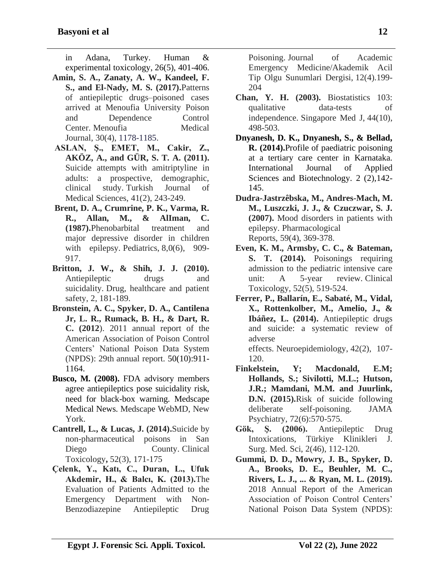in Adana, Turkey. Human & experimental toxicology, 26(5), 401-406.

- **Amin, S. A., Zanaty, A. W., Kandeel, F. S., and El-Nady, M. S. (2017).**Patterns of antiepileptic drugs–poisoned cases arrived at Menoufia University Poison and Dependence Control Center. Menoufia Medical Journal, 30(4), 1178-1185.
- **ASLAN, Ş., EMET, M., Cakir, Z., AKÖZ, A., and GÜR, S. T. A. (2011).** Suicide attempts with amitriptyline in adults: a prospective, demographic, clinical study. Turkish Journal of Medical Sciences, 41(2), 243-249.
- **Brent, D. A., Crumrine, P. K., Varma, R. R., Allan, M., & AlIman, C. (1987).**Phenobarbital treatment and major depressive disorder in children with epilepsy. Pediatrics, 8,0(6), 909-917.
- **Britton, J. W., & Shih, J. J. (2010).**  Antiepileptic drugs and suicidality. Drug, healthcare and patient safety, 2, 181-189.
- **Bronstein, A. C., Spyker, D. A., Cantilena Jr, L. R., Rumack, B. H., & Dart, R. C. (2012**). 2011 annual report of the American Association of Poison Control Centers' National Poison Data System (NPDS): 29th annual report. 50(10):911- 1164.
- **Busco, M. (2008).** FDA advisory members agree antiepileptics pose suicidality risk, need for black-box warning. Medscape Medical News. Medscape WebMD, New York.
- **Cantrell, L., & Lucas, J. (2014).**Suicide by non-pharmaceutical poisons in San Diego County. Clinical Toxicology**,** 52(3), 171-175
- **Çelenk, Y., Katı, C., Duran, L., Ufuk Akdemir, H., & Balcı, K. (2013).**The Evaluation of Patients Admitted to the Emergency Department with Non-Benzodiazepine Antiepileptic Drug

Poisoning. Journal of Academic Emergency Medicine/Akademik Acil Tip Olgu Sunumlari Dergisi, 12(4).199- 204

- **Chan, Y. H. (2003).** Biostatistics 103: qualitative data-tests of independence. Singapore Med J, 44(10), 498-503.
- **Dnyanesh, D. K., Dnyanesh, S., & Bellad, R. (2014).**Profile of paediatric poisoning at a tertiary care center in Karnataka. International Journal of Applied Sciences and Biotechnology. 2 (2),142- 145.
- **Dudra-Jastrzêbska, M., Andres-Mach, M. M., Luszczki, J. J., & Czuczwar, S. J. (2007).** Mood disorders in patients with epilepsy. Pharmacological Reports, 59(4), 369-378.
- **Even, K. M., Armsby, C. C., & Bateman,**  S. T. (2014). Poisonings requiring admission to the pediatric intensive care unit: A 5-year review. Clinical Toxicology, 52(5), 519-524.
- **Ferrer, P., Ballarín, E., Sabaté, M., Vidal, X., Rottenkolber, M., Amelio, J., & Ibáñez, L. (2014).** Antiepileptic drugs and suicide: a systematic review of adverse

effects. Neuroepidemiology, 42(2), 107- 120.

- **Finkelstein, Y; Macdonald, E.M; Hollands, S.; Sivilotti, M.L.; Hutson, J.R.; Mamdani, M.M. and Juurlink, D.N. (2015).**Risk of suicide following deliberate self-poisoning. JAMA Psychiatry, 72(6):570-575.
- **Gök, Ş. (2006).** Antiepileptic Drug Intoxications, Türkiye Klinikleri J. Surg. Med. Sci, 2(46), 112-120.
- **Gummi, D. D., Mowry, J. B., Spyker, D. A., Brooks, D. E., Beuhler, M. C., Rivers, L. J., ... & Ryan, M. L. (2019).** 2018 Annual Report of the American Association of Poison Control Centers' National Poison Data System (NPDS):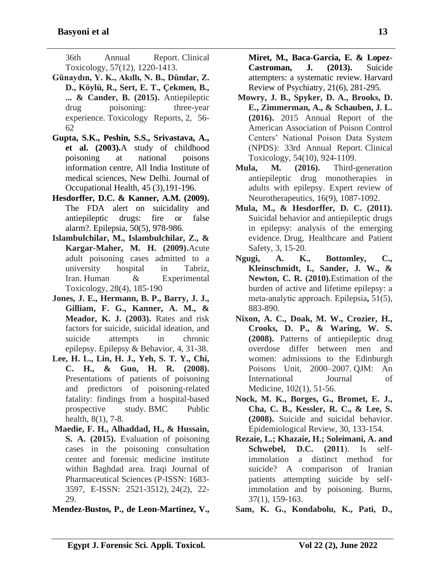36th Annual Report. Clinical Toxicology, 57(12), 1220-1413.

- **Günaydın, Y. K., Akıllı, N. B., Dündar, Z. D., Köylü, R., Sert, E. T., Çekmen, B., ... & Cander, B. (2015).** Antiepileptic drug poisoning: three-year experience. Toxicology Reports, 2, 56- 62
- **Gupta, S.K., Peshin, S.S., Srivastava, A., et al. (2003).**A study of childhood poisoning at national poisons information centre, All India Institute of medical sciences, New Delhi. Journal of Occupational Health, 45 (3),191-196.
- **Hesdorffer, D.C. & Kanner, A.M. (2009).**  The FDA alert on suicidality and antiepileptic drugs: fire or false alarm?. Epilepsia, 50(5), 978-986.
- **Islambulchilar, M., Islambulchilar, Z., & Kargar-Maher, M. H. (2009).**Acute adult poisoning cases admitted to a university hospital in Tabriz, Iran. Human & Experimental Toxicology, 28(4), 185-190
- **Jones, J. E., Hermann, B. P., Barry, J. J., Gilliam, F. G., Kanner, A. M., & Meador, K. J. (2003).** Rates and risk factors for suicide, suicidal ideation, and suicide attempts in chronic epilepsy. Epilepsy & Behavior, 4, 31-38.
- **Lee, H. L., Lin, H. J., Yeh, S. T. Y., Chi, C. H., & Guo, H. R. (2008).** Presentations of patients of poisoning and predictors of poisoning-related fatality: findings from a hospital-based prospective study. BMC Public health, 8(1), 7-8.
- **Maedie, F. H., Alhaddad, H., & Hussain, S. A. (2015).** Evaluation of poisoning cases in the poisoning consultation center and forensic medicine institute within Baghdad area. Iraqi Journal of Pharmaceutical Sciences (P-ISSN: 1683- 3597, E-ISSN: 2521-3512), 24(2), 22- 29.

**Mendez-Bustos, P., de Leon-Martinez, V.,** 

**Miret, M., Baca-Garcia, E. & Lopez-Castroman, J. (2013).** Suicide attempters: a systematic review. Harvard Review of Psychiatry, 21(6), 281-295.

- **Mowry, J. B., Spyker, D. A., Brooks, D. E., Zimmerman, A., & Schauben, J. L. (2016).** 2015 Annual Report of the American Association of Poison Control Centers' National Poison Data System (NPDS): 33rd Annual Report. Clinical Toxicology, 54(10), 924-1109.
- **Mula, M. (2016).** Third-generation antiepileptic drug monotherapies in adults with epilepsy. Expert review of Neurotherapeutics, 16(9), 1087-1092.
- **Mula, M., & Hesdorffer, D. C. (2011).**  Suicidal behavior and antiepileptic drugs in epilepsy: analysis of the emerging evidence. Drug, Healthcare and Patient Safety, 3, 15-20.
- **Ngugi, A. K., Bottomley, C., Kleinschmidt, I., Sander, J. W., & Newton, C. R. (2010).**Estimation of the burden of active and lifetime epilepsy: a meta‐analytic approach. Epilepsia**,** 51(5), 883-890.
- **Nixon, A. C., Doak, M. W., Crozier, H., Crooks, D. P., & Waring, W. S. (2008).** Patterns of antiepileptic drug overdose differ between men and women: admissions to the Edinburgh Poisons Unit, 2000–2007. QJM: An International Journal of Medicine, 102(1), 51-56.
- **Nock, M. K., Borges, G., Bromet, E. J., Cha, C. B., Kessler, R. C., & Lee, S. (2008).** Suicide and suicidal behavior. Epidemiological Review, 30, 133-154.
- **Rezaie, L.; Khazaie, H.; Soleimani, A. and Schwebel, D.C. (2011**). Is selfimmolation a distinct method for suicide? A comparison of Iranian patients attempting suicide by selfimmolation and by poisoning. Burns, 37(1), 159-163.

**Sam, K. G., Kondabolu, K., Pati, D.,**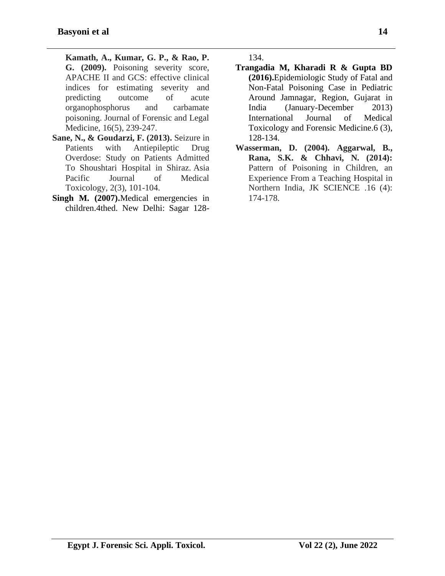**Kamath, A., Kumar, G. P., & Rao, P. G. (2009).** Poisoning severity score, APACHE II and GCS: effective clinical indices for estimating severity and predicting outcome of acute organophosphorus and carbamate poisoning. Journal of Forensic and Legal Medicine, 16(5), 239-247.

- **Sane, N., & Goudarzi, F. (2013).** Seizure in Patients with Antiepileptic Drug Overdose: Study on Patients Admitted To Shoushtari Hospital in Shiraz. Asia Pacific Journal of Medical Toxicology, 2(3), 101-104.
- **Singh M. (2007).**Medical emergencies in children.4thed. New Delhi: Sagar 128-

134.

- **Trangadia M, Kharadi R & Gupta BD (2016).**Epidemiologic Study of Fatal and Non-Fatal Poisoning Case in Pediatric Around Jamnagar, Region, Gujarat in India (January-December 2013) International Journal of Medical Toxicology and Forensic Medicine.6 (3), 128-134.
- **Wasserman, D. (2004). Aggarwal, B., Rana, S.K. & Chhavi, N. (2014):** Pattern of Poisoning in Children, an Experience From a Teaching Hospital in Northern India, JK SCIENCE .16 (4): 174-178.